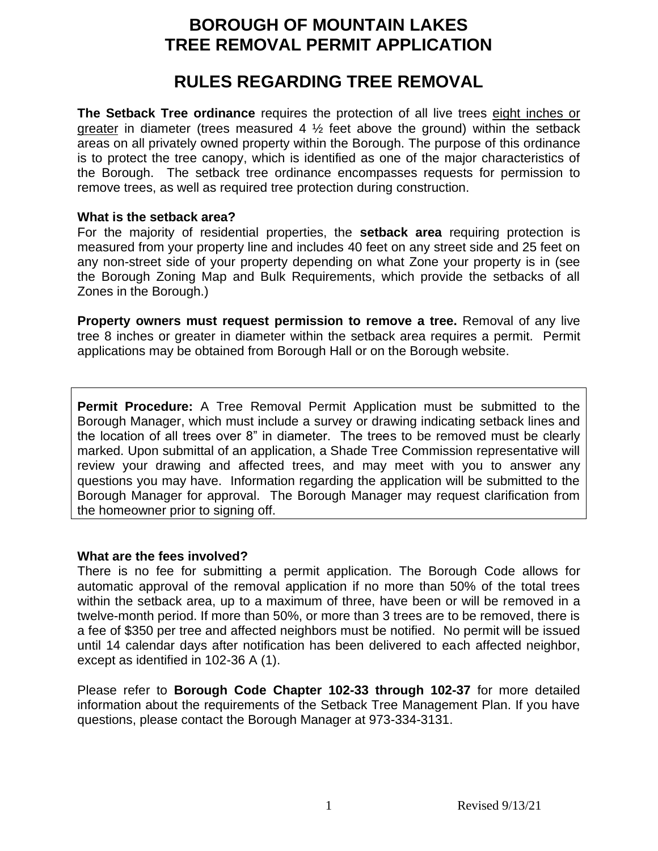### **BOROUGH OF MOUNTAIN LAKES TREE REMOVAL PERMIT APPLICATION**

## **RULES REGARDING TREE REMOVAL**

**The Setback Tree ordinance** requires the protection of all live trees eight inches or greater in diameter (trees measured 4  $\frac{1}{2}$  feet above the ground) within the setback areas on all privately owned property within the Borough. The purpose of this ordinance is to protect the tree canopy, which is identified as one of the major characteristics of the Borough. The setback tree ordinance encompasses requests for permission to remove trees, as well as required tree protection during construction.

#### **What is the setback area?**

For the majority of residential properties, the **setback area** requiring protection is measured from your property line and includes 40 feet on any street side and 25 feet on any non-street side of your property depending on what Zone your property is in (see the Borough Zoning Map and Bulk Requirements, which provide the setbacks of all Zones in the Borough.)

**Property owners must request permission to remove a tree.** Removal of any live tree 8 inches or greater in diameter within the setback area requires a permit. Permit applications may be obtained from Borough Hall or on the Borough website.

**Permit Procedure:** A Tree Removal Permit Application must be submitted to the Borough Manager, which must include a survey or drawing indicating setback lines and the location of all trees over 8" in diameter. The trees to be removed must be clearly marked. Upon submittal of an application, a Shade Tree Commission representative will review your drawing and affected trees, and may meet with you to answer any questions you may have. Information regarding the application will be submitted to the Borough Manager for approval. The Borough Manager may request clarification from the homeowner prior to signing off.

#### **What are the fees involved?**

There is no fee for submitting a permit application. The Borough Code allows for automatic approval of the removal application if no more than 50% of the total trees within the setback area, up to a maximum of three, have been or will be removed in a twelve-month period. If more than 50%, or more than 3 trees are to be removed, there is a fee of \$350 per tree and affected neighbors must be notified. No permit will be issued until 14 calendar days after notification has been delivered to each affected neighbor, except as identified in 102-36 A (1).

Please refer to **Borough Code Chapter 102-33 through 102-37** for more detailed information about the requirements of the Setback Tree Management Plan. If you have questions, please contact the Borough Manager at 973-334-3131.